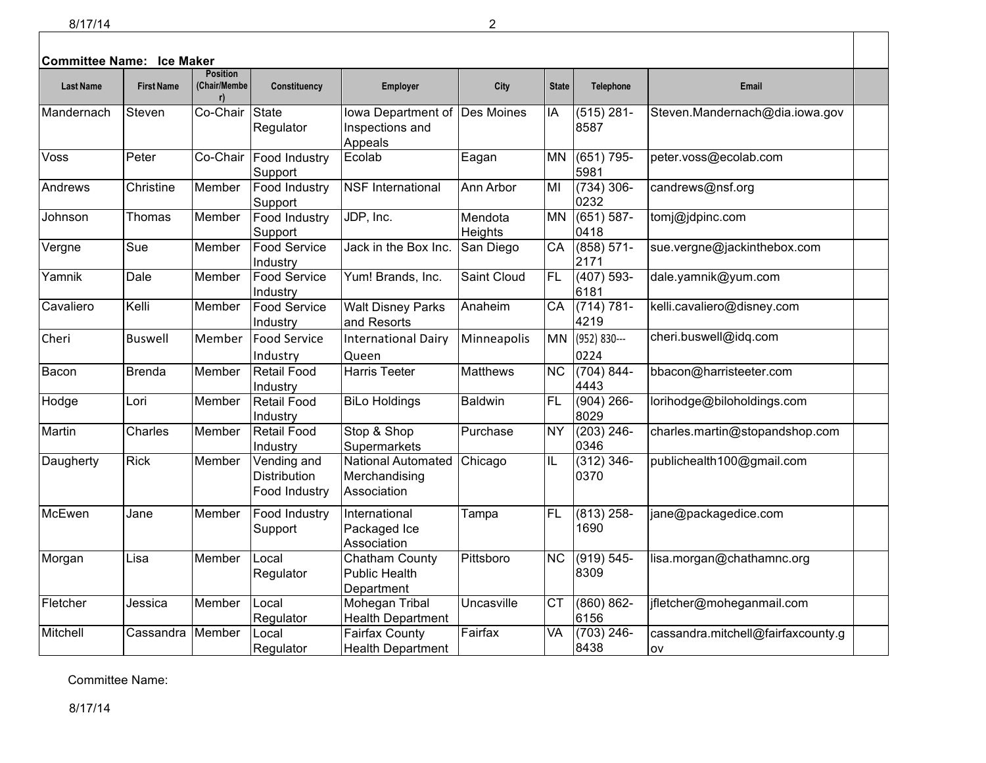| <b>Committee Name: Ice Maker</b> |                   | <b>Position</b>    |                                                     |                                                           |                    |                 |                       |                                          |  |
|----------------------------------|-------------------|--------------------|-----------------------------------------------------|-----------------------------------------------------------|--------------------|-----------------|-----------------------|------------------------------------------|--|
| <b>Last Name</b>                 | <b>First Name</b> | (Chair/Membe<br>r) | Constituency                                        | Employer                                                  | City               | <b>State</b>    | Telephone             | <b>Email</b>                             |  |
| Mandernach                       | Steven            | Co-Chair           | <b>State</b><br>Regulator                           | lowa Department of<br>Inspections and<br>Appeals          | Des Moines         | IA              | $(515)$ 281-<br>8587  | Steven.Mandernach@dia.iowa.gov           |  |
| Voss                             | Peter             | Co-Chair           | Food Industry<br>Support                            | Ecolab                                                    | Eagan              | MN              | $(651) 795 -$<br>5981 | peter.voss@ecolab.com                    |  |
| Andrews                          | Christine         | Member             | Food Industry<br>Support                            | <b>NSF</b> International                                  | Ann Arbor          | MI              | $(734)$ 306-<br>0232  | candrews@nsf.org                         |  |
| Johnson                          | Thomas            | Member             | Food Industry<br>Support                            | JDP, Inc.                                                 | Mendota<br>Heights | <b>MN</b>       | $(651) 587 -$<br>0418 | tomj@jdpinc.com                          |  |
| Vergne                           | Sue               | Member             | <b>Food Service</b><br>Industry                     | Jack in the Box Inc.                                      | San Diego          | CA              | $(858) 571-$<br>2171  | sue.vergne@jackinthebox.com              |  |
| Yamnik                           | Dale              | Member             | Food Service<br>Industry                            | Yum! Brands, Inc.                                         | Saint Cloud        | <b>FL</b>       | $(407) 593 -$<br>6181 | dale.yamnik@yum.com                      |  |
| Cavaliero                        | Kelli             | Member             | Food Service<br>Industry                            | <b>Walt Disney Parks</b><br>and Resorts                   | Anaheim            | CA              | $(714) 781 -$<br>4219 | kelli.cavaliero@disney.com               |  |
| Cheri                            | <b>Buswell</b>    | Member             | <b>Food Service</b><br>Industry                     | <b>International Dairy</b><br>Queen                       | Minneapolis        | MN              | (952) 830---<br>0224  | cheri.buswell@idq.com                    |  |
| Bacon                            | <b>Brenda</b>     | Member             | <b>Retail Food</b><br>Industry                      | <b>Harris Teeter</b>                                      | <b>Matthews</b>    | $\overline{NC}$ | $(704) 844 -$<br>4443 | bbacon@harristeeter.com                  |  |
| Hodge                            | Lori              | Member             | <b>Retail Food</b><br>Industry                      | <b>BiLo Holdings</b>                                      | <b>Baldwin</b>     | <b>FL</b>       | $(904)$ 266-<br>8029  | lorihodge@biloholdings.com               |  |
| Martin                           | Charles           | Member             | <b>Retail Food</b><br>Industry                      | Stop & Shop<br>Supermarkets                               | Purchase           | <b>NY</b>       | $(203)$ 246-<br>0346  | charles.martin@stopandshop.com           |  |
| Daugherty                        | <b>Rick</b>       | Member             | Vending and<br><b>Distribution</b><br>Food Industry | <b>National Automated</b><br>Merchandising<br>Association | Chicago            | IL              | $(312) 346 -$<br>0370 | publichealth100@gmail.com                |  |
| McEwen                           | Jane              | Member             | Food Industry<br>Support                            | International<br>Packaged Ice<br>Association              | Tampa              | <b>FL</b>       | $(813)$ 258-<br>1690  | jane@packagedice.com                     |  |
| Morgan                           | Lisa              | Member             | Local<br>Regulator                                  | Chatham County<br><b>Public Health</b><br>Department      | Pittsboro          | NC              | $(919) 545 -$<br>8309 | lisa.morgan@chathamnc.org                |  |
| Fletcher                         | Jessica           | Member             | Local<br>Regulator                                  | Mohegan Tribal<br><b>Health Department</b>                | Uncasville         | <b>CT</b>       | $(860) 862 -$<br>6156 | ifletcher@moheganmail.com                |  |
| Mitchell                         | Cassandra         | Member             | Local<br>Regulator                                  | <b>Fairfax County</b><br><b>Health Department</b>         | Fairfax            | VA              | $(703)$ 246-<br>8438  | cassandra.mitchell@fairfaxcounty.g<br>ov |  |

Committee Name:

8/17/14